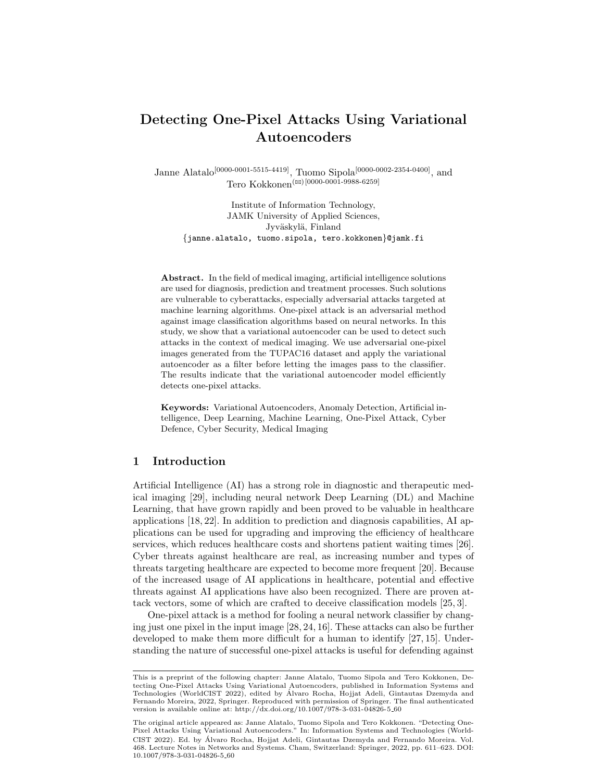# Detecting One-Pixel Attacks Using Variational Autoencoders

Janne Alatalo<sup>[0000-0001-5515-4419]</sup>, Tuomo Sipola<sup>[0000-0002-2354-0400]</sup>, and Tero Kokkonen<sup>( $\boxtimes$ )[0000-0001-9988-6259]</sup>

Institute of Information Technology, JAMK University of Applied Sciences, Jyväskylä, Finland {janne.alatalo, tuomo.sipola, tero.kokkonen}@jamk.fi

Abstract. In the field of medical imaging, artificial intelligence solutions are used for diagnosis, prediction and treatment processes. Such solutions are vulnerable to cyberattacks, especially adversarial attacks targeted at machine learning algorithms. One-pixel attack is an adversarial method against image classification algorithms based on neural networks. In this study, we show that a variational autoencoder can be used to detect such attacks in the context of medical imaging. We use adversarial one-pixel images generated from the TUPAC16 dataset and apply the variational autoencoder as a filter before letting the images pass to the classifier. The results indicate that the variational autoencoder model efficiently detects one-pixel attacks.

Keywords: Variational Autoencoders, Anomaly Detection, Artificial intelligence, Deep Learning, Machine Learning, One-Pixel Attack, Cyber Defence, Cyber Security, Medical Imaging

# 1 Introduction

Artificial Intelligence (AI) has a strong role in diagnostic and therapeutic medical imaging [29], including neural network Deep Learning (DL) and Machine Learning, that have grown rapidly and been proved to be valuable in healthcare applications [18, 22]. In addition to prediction and diagnosis capabilities, AI applications can be used for upgrading and improving the efficiency of healthcare services, which reduces healthcare costs and shortens patient waiting times [26]. Cyber threats against healthcare are real, as increasing number and types of threats targeting healthcare are expected to become more frequent [20]. Because of the increased usage of AI applications in healthcare, potential and effective threats against AI applications have also been recognized. There are proven attack vectors, some of which are crafted to deceive classification models [25, 3].

One-pixel attack is a method for fooling a neural network classifier by changing just one pixel in the input image [28, 24, 16]. These attacks can also be further developed to make them more difficult for a human to identify [27, 15]. Understanding the nature of successful one-pixel attacks is useful for defending against

This is a preprint of the following chapter: Janne Alatalo, Tuomo Sipola and Tero Kokkonen, Detecting One-Pixel Attacks Using Variational Autoencoders, published in Information Systems and Technologies (WorldCIST 2022), edited by Alvaro Rocha, Hojjat Adeli, Gintautas Dzemyda and ´ Fernando Moreira, 2022, Springer. Reproduced with permission of Springer. The final authenticated version is available online at: http://dx.doi.org/10.1007/978-3-031-04826-5\_60

The original article appeared as: Janne Alatalo, Tuomo Sipola and Tero Kokkonen. "Detecting One-Pixel Attacks Using Variational Autoencoders." In: Information Systems and Technologies (World-CIST 2022). Ed. by Alvaro Rocha, Hojjat Adeli, Gintautas Dzemyda and Fernando Moreira. Vol. ´ 468. Lecture Notes in Networks and Systems. Cham, Switzerland: Springer, 2022, pp. 611–623. DOI: 10.1007/978-3-031-04826-5 60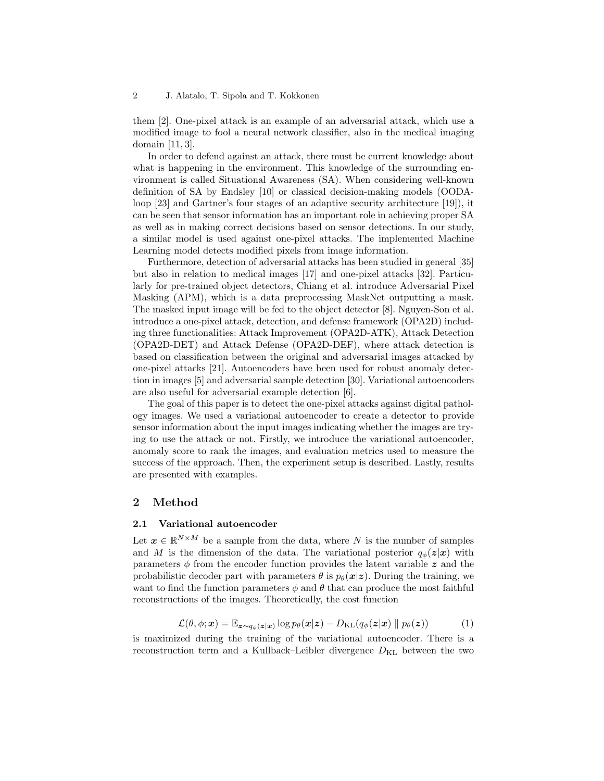them [2]. One-pixel attack is an example of an adversarial attack, which use a modified image to fool a neural network classifier, also in the medical imaging domain [11, 3].

In order to defend against an attack, there must be current knowledge about what is happening in the environment. This knowledge of the surrounding environment is called Situational Awareness (SA). When considering well-known definition of SA by Endsley [10] or classical decision-making models (OODAloop [23] and Gartner's four stages of an adaptive security architecture [19]), it can be seen that sensor information has an important role in achieving proper SA as well as in making correct decisions based on sensor detections. In our study, a similar model is used against one-pixel attacks. The implemented Machine Learning model detects modified pixels from image information.

Furthermore, detection of adversarial attacks has been studied in general [35] but also in relation to medical images [17] and one-pixel attacks [32]. Particularly for pre-trained object detectors, Chiang et al. introduce Adversarial Pixel Masking (APM), which is a data preprocessing MaskNet outputting a mask. The masked input image will be fed to the object detector [8]. Nguyen-Son et al. introduce a one-pixel attack, detection, and defense framework (OPA2D) including three functionalities: Attack Improvement (OPA2D-ATK), Attack Detection (OPA2D-DET) and Attack Defense (OPA2D-DEF), where attack detection is based on classification between the original and adversarial images attacked by one-pixel attacks [21]. Autoencoders have been used for robust anomaly detection in images [5] and adversarial sample detection [30]. Variational autoencoders are also useful for adversarial example detection [6].

The goal of this paper is to detect the one-pixel attacks against digital pathology images. We used a variational autoencoder to create a detector to provide sensor information about the input images indicating whether the images are trying to use the attack or not. Firstly, we introduce the variational autoencoder, anomaly score to rank the images, and evaluation metrics used to measure the success of the approach. Then, the experiment setup is described. Lastly, results are presented with examples.

# 2 Method

#### 2.1 Variational autoencoder

Let  $\boldsymbol{x} \in \mathbb{R}^{N \times M}$  be a sample from the data, where N is the number of samples and M is the dimension of the data. The variational posterior  $q_{\phi}(z|x)$  with parameters  $\phi$  from the encoder function provides the latent variable z and the probabilistic decoder part with parameters  $\theta$  is  $p_{\theta}(\mathbf{x}|\mathbf{z})$ . During the training, we want to find the function parameters  $\phi$  and  $\theta$  that can produce the most faithful reconstructions of the images. Theoretically, the cost function

$$
\mathcal{L}(\theta, \phi; \mathbf{x}) = \mathbb{E}_{\mathbf{z} \sim q_{\phi}(\mathbf{z}|\mathbf{x})} \log p_{\theta}(\mathbf{x}|\mathbf{z}) - D_{\mathrm{KL}}(q_{\phi}(\mathbf{z}|\mathbf{x}) \parallel p_{\theta}(\mathbf{z})) \tag{1}
$$

is maximized during the training of the variational autoencoder. There is a reconstruction term and a Kullback–Leibler divergence  $D_{\text{KL}}$  between the two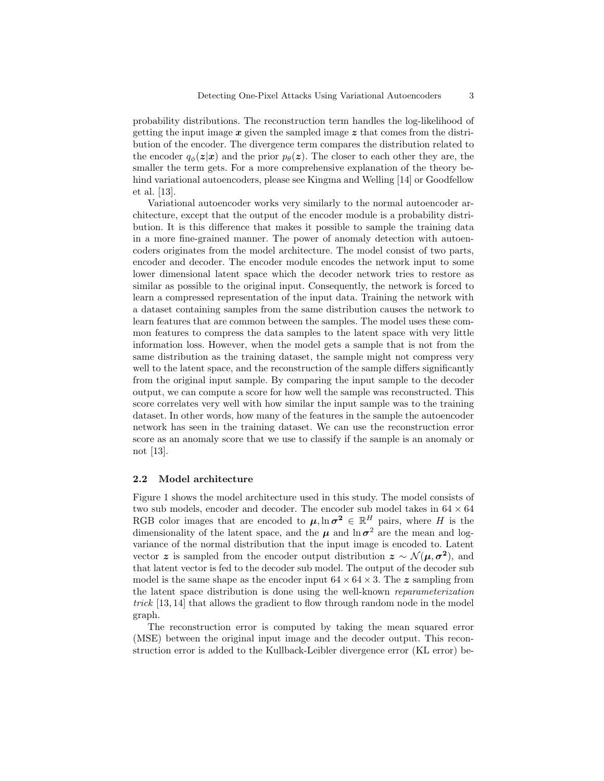probability distributions. The reconstruction term handles the log-likelihood of getting the input image  $x$  given the sampled image  $z$  that comes from the distribution of the encoder. The divergence term compares the distribution related to the encoder  $q_{\phi}(z|x)$  and the prior  $p_{\theta}(z)$ . The closer to each other they are, the smaller the term gets. For a more comprehensive explanation of the theory behind variational autoencoders, please see Kingma and Welling [14] or Goodfellow et al. [13].

Variational autoencoder works very similarly to the normal autoencoder architecture, except that the output of the encoder module is a probability distribution. It is this difference that makes it possible to sample the training data in a more fine-grained manner. The power of anomaly detection with autoencoders originates from the model architecture. The model consist of two parts, encoder and decoder. The encoder module encodes the network input to some lower dimensional latent space which the decoder network tries to restore as similar as possible to the original input. Consequently, the network is forced to learn a compressed representation of the input data. Training the network with a dataset containing samples from the same distribution causes the network to learn features that are common between the samples. The model uses these common features to compress the data samples to the latent space with very little information loss. However, when the model gets a sample that is not from the same distribution as the training dataset, the sample might not compress very well to the latent space, and the reconstruction of the sample differs significantly from the original input sample. By comparing the input sample to the decoder output, we can compute a score for how well the sample was reconstructed. This score correlates very well with how similar the input sample was to the training dataset. In other words, how many of the features in the sample the autoencoder network has seen in the training dataset. We can use the reconstruction error score as an anomaly score that we use to classify if the sample is an anomaly or not [13].

#### 2.2 Model architecture

Figure 1 shows the model architecture used in this study. The model consists of two sub models, encoder and decoder. The encoder sub model takes in  $64 \times 64$ RGB color images that are encoded to  $\mu$ ,  $\ln \sigma^2 \in \mathbb{R}^H$  pairs, where H is the dimensionality of the latent space, and the  $\mu$  and  $\ln \sigma^2$  are the mean and logvariance of the normal distribution that the input image is encoded to. Latent vector z is sampled from the encoder output distribution  $z \sim \mathcal{N}(\mu, \sigma^2)$ , and that latent vector is fed to the decoder sub model. The output of the decoder sub model is the same shape as the encoder input  $64 \times 64 \times 3$ . The z sampling from the latent space distribution is done using the well-known reparameterization trick [13, 14] that allows the gradient to flow through random node in the model graph.

The reconstruction error is computed by taking the mean squared error (MSE) between the original input image and the decoder output. This reconstruction error is added to the Kullback-Leibler divergence error (KL error) be-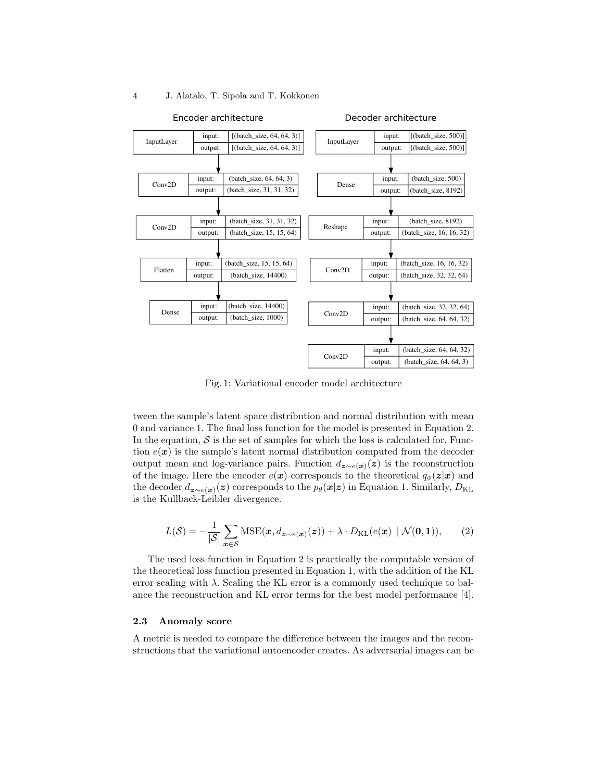#### Conv2D input: output: (batch\_size, 32, 32, 64) (batch\_size, 64, 64, 32) Conv2D input: output: (batch\_size, 64, 64, 32) (batch\_size, 64, 64, 3) InputLayer input: output: [(batch\_size, 500)] [(batch\_size, 500)] Dense input: output: (batch\_size, 500) (batch\_size, 8192) Reshape  $\frac{$ input: output: (batch\_size, 8192) (batch\_size, 16, 16, 32) Conv2D  $\frac{$ input: output: (batch\_size, 16, 16, 32) (batch\_size, 32, 32, 64) Decoder architecture InputLayer input: output: [(batch\_size, 64, 64, 3)] [(batch\_size, 64, 64, 3)] Conv2D input: output: (batch\_size, 64, 64, 3) (batch\_size, 31, 31, 32) Conv2D input: output: (batch\_size, 31, 31, 32) (batch\_size, 15, 15, 64) Flatten input: output: (batch\_size, 15, 15, 64) (batch\_size, 14400) Dense input: output: (batch\_size, 14400) (batch\_size, 1000) Encoder architecture

#### 4 J. Alatalo, T. Sipola and T. Kokkonen

Fig. 1: Variational encoder model architecture

tween the sample's latent space distribution and normal distribution with mean 0 and variance 1. The final loss function for the model is presented in Equation 2. In the equation,  $S$  is the set of samples for which the loss is calculated for. Function  $e(x)$  is the sample's latent normal distribution computed from the decoder output mean and log-variance pairs. Function  $d_{z\sim e(x)}(z)$  is the reconstruction of the image. Here the encoder  $e(x)$  corresponds to the theoretical  $q_{\phi}(z|x)$  and the decoder  $d_{\mathbf{z} \sim e(\mathbf{x})}(z)$  corresponds to the  $p_{\theta}(\mathbf{x}|\mathbf{z})$  in Equation 1. Similarly,  $D_{\text{KL}}$ is the Kullback-Leibler divergence.

$$
L(S) = -\frac{1}{|S|} \sum_{\boldsymbol{x} \in S} \text{MSE}(\boldsymbol{x}, d_{\boldsymbol{z} \sim e(\boldsymbol{x})}(\boldsymbol{z})) + \lambda \cdot D_{\text{KL}}(e(\boldsymbol{x}) \parallel \mathcal{N}(\boldsymbol{0}, \boldsymbol{1})), \qquad (2)
$$

The used loss function in Equation 2 is practically the computable version of the theoretical loss function presented in Equation 1, with the addition of the KL error scaling with  $\lambda$ . Scaling the KL error is a commonly used technique to balance the reconstruction and KL error terms for the best model performance [4].

#### 2.3 Anomaly score

A metric is needed to compare the difference between the images and the reconstructions that the variational autoencoder creates. As adversarial images can be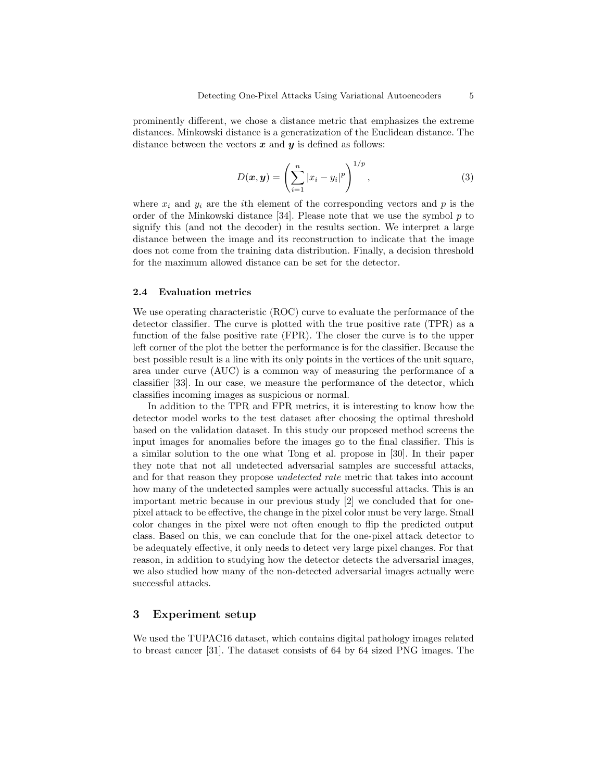prominently different, we chose a distance metric that emphasizes the extreme distances. Minkowski distance is a generatization of the Euclidean distance. The distance between the vectors  $x$  and  $y$  is defined as follows:

$$
D(\boldsymbol{x}, \boldsymbol{y}) = \left(\sum_{i=1}^{n} |x_i - y_i|^p\right)^{1/p}, \qquad (3)
$$

where  $x_i$  and  $y_i$  are the *i*th element of the corresponding vectors and p is the order of the Minkowski distance [34]. Please note that we use the symbol  $p$  to signify this (and not the decoder) in the results section. We interpret a large distance between the image and its reconstruction to indicate that the image does not come from the training data distribution. Finally, a decision threshold for the maximum allowed distance can be set for the detector.

#### 2.4 Evaluation metrics

We use operating characteristic (ROC) curve to evaluate the performance of the detector classifier. The curve is plotted with the true positive rate (TPR) as a function of the false positive rate (FPR). The closer the curve is to the upper left corner of the plot the better the performance is for the classifier. Because the best possible result is a line with its only points in the vertices of the unit square, area under curve (AUC) is a common way of measuring the performance of a classifier [33]. In our case, we measure the performance of the detector, which classifies incoming images as suspicious or normal.

In addition to the TPR and FPR metrics, it is interesting to know how the detector model works to the test dataset after choosing the optimal threshold based on the validation dataset. In this study our proposed method screens the input images for anomalies before the images go to the final classifier. This is a similar solution to the one what Tong et al. propose in [30]. In their paper they note that not all undetected adversarial samples are successful attacks, and for that reason they propose undetected rate metric that takes into account how many of the undetected samples were actually successful attacks. This is an important metric because in our previous study [2] we concluded that for onepixel attack to be effective, the change in the pixel color must be very large. Small color changes in the pixel were not often enough to flip the predicted output class. Based on this, we can conclude that for the one-pixel attack detector to be adequately effective, it only needs to detect very large pixel changes. For that reason, in addition to studying how the detector detects the adversarial images, we also studied how many of the non-detected adversarial images actually were successful attacks.

# 3 Experiment setup

We used the TUPAC16 dataset, which contains digital pathology images related to breast cancer [31]. The dataset consists of 64 by 64 sized PNG images. The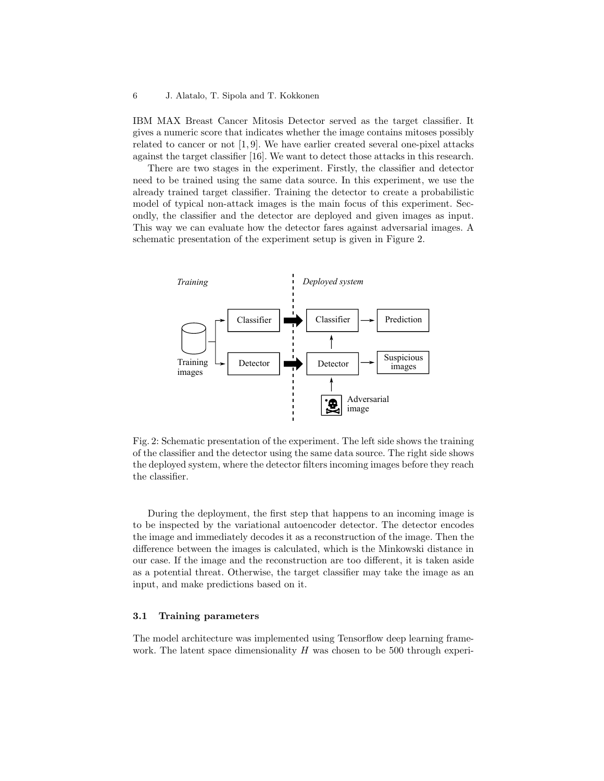IBM MAX Breast Cancer Mitosis Detector served as the target classifier. It gives a numeric score that indicates whether the image contains mitoses possibly related to cancer or not [1, 9]. We have earlier created several one-pixel attacks against the target classifier [16]. We want to detect those attacks in this research.

There are two stages in the experiment. Firstly, the classifier and detector need to be trained using the same data source. In this experiment, we use the already trained target classifier. Training the detector to create a probabilistic model of typical non-attack images is the main focus of this experiment. Secondly, the classifier and the detector are deployed and given images as input. This way we can evaluate how the detector fares against adversarial images. A schematic presentation of the experiment setup is given in Figure 2.



Fig. 2: Schematic presentation of the experiment. The left side shows the training of the classifier and the detector using the same data source. The right side shows the deployed system, where the detector filters incoming images before they reach the classifier.

During the deployment, the first step that happens to an incoming image is to be inspected by the variational autoencoder detector. The detector encodes the image and immediately decodes it as a reconstruction of the image. Then the difference between the images is calculated, which is the Minkowski distance in our case. If the image and the reconstruction are too different, it is taken aside as a potential threat. Otherwise, the target classifier may take the image as an input, and make predictions based on it.

## 3.1 Training parameters

The model architecture was implemented using Tensorflow deep learning framework. The latent space dimensionality  $H$  was chosen to be 500 through experi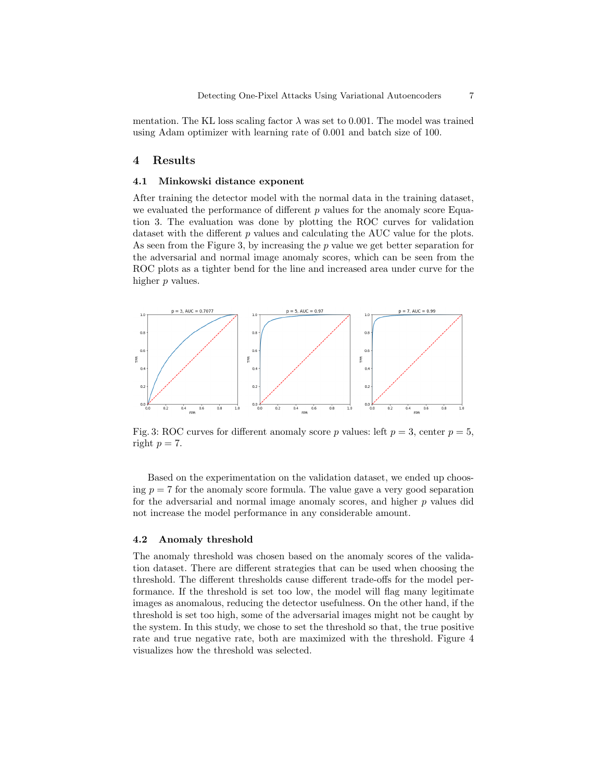mentation. The KL loss scaling factor  $\lambda$  was set to 0.001. The model was trained using Adam optimizer with learning rate of 0.001 and batch size of 100.

## 4 Results

#### 4.1 Minkowski distance exponent

After training the detector model with the normal data in the training dataset, we evaluated the performance of different  $p$  values for the anomaly score Equation 3. The evaluation was done by plotting the ROC curves for validation dataset with the different  $p$  values and calculating the AUC value for the plots. As seen from the Figure 3, by increasing the  $p$  value we get better separation for the adversarial and normal image anomaly scores, which can be seen from the ROC plots as a tighter bend for the line and increased area under curve for the higher p values.



Fig. 3: ROC curves for different anomaly score p values: left  $p = 3$ , center  $p = 5$ , right  $p = 7$ .

Based on the experimentation on the validation dataset, we ended up choosing  $p = 7$  for the anomaly score formula. The value gave a very good separation for the adversarial and normal image anomaly scores, and higher  $p$  values did not increase the model performance in any considerable amount.

#### 4.2 Anomaly threshold

The anomaly threshold was chosen based on the anomaly scores of the validation dataset. There are different strategies that can be used when choosing the threshold. The different thresholds cause different trade-offs for the model performance. If the threshold is set too low, the model will flag many legitimate images as anomalous, reducing the detector usefulness. On the other hand, if the threshold is set too high, some of the adversarial images might not be caught by the system. In this study, we chose to set the threshold so that, the true positive rate and true negative rate, both are maximized with the threshold. Figure 4 visualizes how the threshold was selected.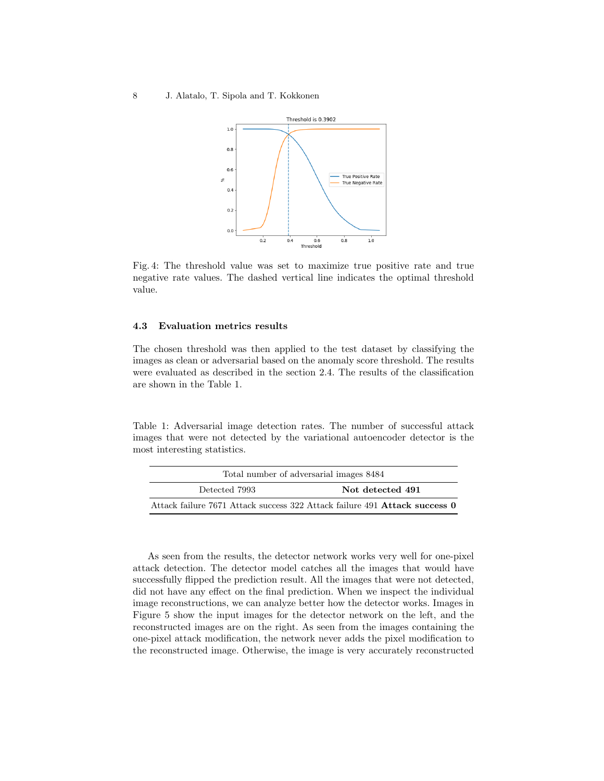#### 8 J. Alatalo, T. Sipola and T. Kokkonen



Fig. 4: The threshold value was set to maximize true positive rate and true negative rate values. The dashed vertical line indicates the optimal threshold value.

#### 4.3 Evaluation metrics results

The chosen threshold was then applied to the test dataset by classifying the images as clean or adversarial based on the anomaly score threshold. The results were evaluated as described in the section 2.4. The results of the classification are shown in the Table 1.

Table 1: Adversarial image detection rates. The number of successful attack images that were not detected by the variational autoencoder detector is the most interesting statistics.

| Total number of adversarial images 8484                                    |                  |
|----------------------------------------------------------------------------|------------------|
| Detected 7993                                                              | Not detected 491 |
| Attack failure 7671 Attack success 322 Attack failure 491 Attack success 0 |                  |

As seen from the results, the detector network works very well for one-pixel attack detection. The detector model catches all the images that would have successfully flipped the prediction result. All the images that were not detected, did not have any effect on the final prediction. When we inspect the individual image reconstructions, we can analyze better how the detector works. Images in Figure 5 show the input images for the detector network on the left, and the reconstructed images are on the right. As seen from the images containing the one-pixel attack modification, the network never adds the pixel modification to the reconstructed image. Otherwise, the image is very accurately reconstructed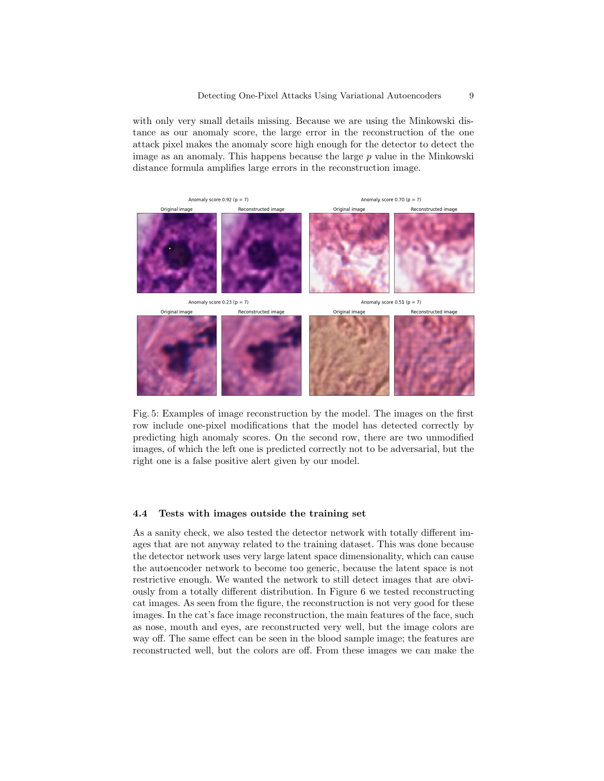with only very small details missing. Because we are using the Minkowski distance as our anomaly score, the large error in the reconstruction of the one attack pixel makes the anomaly score high enough for the detector to detect the image as an anomaly. This happens because the large  $p$  value in the Minkowski distance formula amplifies large errors in the reconstruction image.





Fig. 5: Examples of image reconstruction by the model. The images on the first row include one-pixel modifications that the model has detected correctly by predicting high anomaly scores. On the second row, there are two unmodified images, of which the left one is predicted correctly not to be adversarial, but the right one is a false positive alert given by our model.

#### 4.4 Tests with images outside the training set

As a sanity check, we also tested the detector network with totally different images that are not anyway related to the training dataset. This was done because the detector network uses very large latent space dimensionality, which can cause the autoencoder network to become too generic, because the latent space is not restrictive enough. We wanted the network to still detect images that are obviously from a totally different distribution. In Figure 6 we tested reconstructing cat images. As seen from the figure, the reconstruction is not very good for these images. In the cat's face image reconstruction, the main features of the face, such as nose, mouth and eyes, are reconstructed very well, but the image colors are way off. The same effect can be seen in the blood sample image; the features are reconstructed well, but the colors are off. From these images we can make the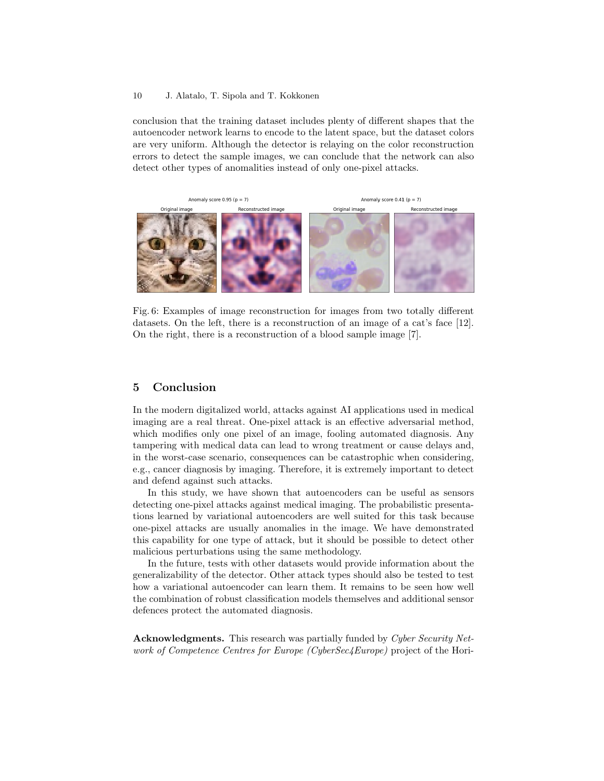#### 10 J. Alatalo, T. Sipola and T. Kokkonen

conclusion that the training dataset includes plenty of different shapes that the autoencoder network learns to encode to the latent space, but the dataset colors are very uniform. Although the detector is relaying on the color reconstruction errors to detect the sample images, we can conclude that the network can also detect other types of anomalities instead of only one-pixel attacks.



Fig. 6: Examples of image reconstruction for images from two totally different datasets. On the left, there is a reconstruction of an image of a cat's face [12]. On the right, there is a reconstruction of a blood sample image [7].

# 5 Conclusion

In the modern digitalized world, attacks against AI applications used in medical imaging are a real threat. One-pixel attack is an effective adversarial method, which modifies only one pixel of an image, fooling automated diagnosis. Any tampering with medical data can lead to wrong treatment or cause delays and, in the worst-case scenario, consequences can be catastrophic when considering, e.g., cancer diagnosis by imaging. Therefore, it is extremely important to detect and defend against such attacks.

In this study, we have shown that autoencoders can be useful as sensors detecting one-pixel attacks against medical imaging. The probabilistic presentations learned by variational autoencoders are well suited for this task because one-pixel attacks are usually anomalies in the image. We have demonstrated this capability for one type of attack, but it should be possible to detect other malicious perturbations using the same methodology.

In the future, tests with other datasets would provide information about the generalizability of the detector. Other attack types should also be tested to test how a variational autoencoder can learn them. It remains to be seen how well the combination of robust classification models themselves and additional sensor defences protect the automated diagnosis.

Acknowledgments. This research was partially funded by Cyber Security Network of Competence Centres for Europe (CyberSec4Europe) project of the Hori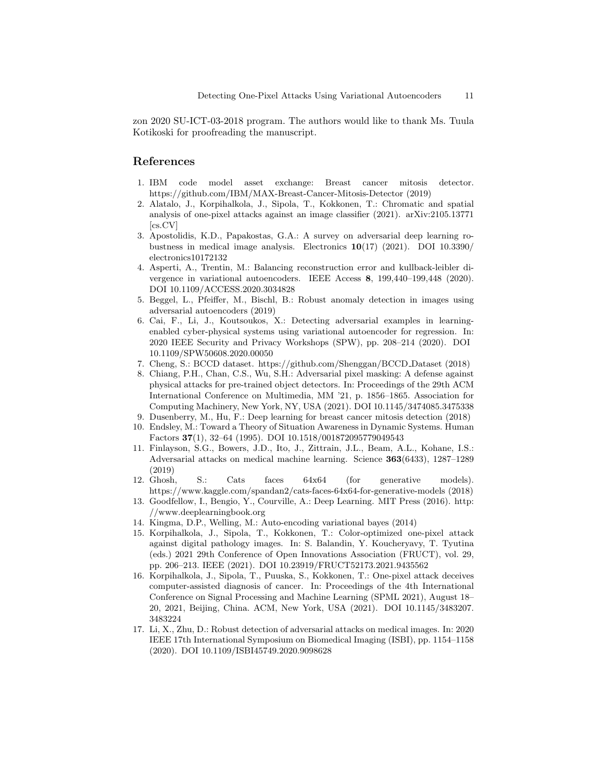zon 2020 SU-ICT-03-2018 program. The authors would like to thank Ms. Tuula Kotikoski for proofreading the manuscript.

# References

- 1. IBM code model asset exchange: Breast cancer mitosis detector. https://github.com/IBM/MAX-Breast-Cancer-Mitosis-Detector (2019)
- 2. Alatalo, J., Korpihalkola, J., Sipola, T., Kokkonen, T.: Chromatic and spatial analysis of one-pixel attacks against an image classifier (2021). arXiv:2105.13771 [cs.CV]
- 3. Apostolidis, K.D., Papakostas, G.A.: A survey on adversarial deep learning robustness in medical image analysis. Electronics  $10(17)$  (2021). DOI 10.3390/ electronics10172132
- 4. Asperti, A., Trentin, M.: Balancing reconstruction error and kullback-leibler divergence in variational autoencoders. IEEE Access 8, 199,440–199,448 (2020). DOI 10.1109/ACCESS.2020.3034828
- 5. Beggel, L., Pfeiffer, M., Bischl, B.: Robust anomaly detection in images using adversarial autoencoders (2019)
- 6. Cai, F., Li, J., Koutsoukos, X.: Detecting adversarial examples in learningenabled cyber-physical systems using variational autoencoder for regression. In: 2020 IEEE Security and Privacy Workshops (SPW), pp. 208–214 (2020). DOI 10.1109/SPW50608.2020.00050
- 7. Cheng, S.: BCCD dataset. https://github.com/Shenggan/BCCD Dataset (2018)
- 8. Chiang, P.H., Chan, C.S., Wu, S.H.: Adversarial pixel masking: A defense against physical attacks for pre-trained object detectors. In: Proceedings of the 29th ACM International Conference on Multimedia, MM '21, p. 1856–1865. Association for Computing Machinery, New York, NY, USA (2021). DOI 10.1145/3474085.3475338
- 9. Dusenberry, M., Hu, F.: Deep learning for breast cancer mitosis detection (2018)
- 10. Endsley, M.: Toward a Theory of Situation Awareness in Dynamic Systems. Human Factors 37(1), 32–64 (1995). DOI 10.1518/001872095779049543
- 11. Finlayson, S.G., Bowers, J.D., Ito, J., Zittrain, J.L., Beam, A.L., Kohane, I.S.: Adversarial attacks on medical machine learning. Science 363(6433), 1287–1289 (2019)
- 12. Ghosh, S.: Cats faces 64x64 (for generative models). https://www.kaggle.com/spandan2/cats-faces-64x64-for-generative-models (2018)
- 13. Goodfellow, I., Bengio, Y., Courville, A.: Deep Learning. MIT Press (2016). http: //www.deeplearningbook.org
- 14. Kingma, D.P., Welling, M.: Auto-encoding variational bayes (2014)
- 15. Korpihalkola, J., Sipola, T., Kokkonen, T.: Color-optimized one-pixel attack against digital pathology images. In: S. Balandin, Y. Koucheryavy, T. Tyutina (eds.) 2021 29th Conference of Open Innovations Association (FRUCT), vol. 29, pp. 206–213. IEEE (2021). DOI 10.23919/FRUCT52173.2021.9435562
- 16. Korpihalkola, J., Sipola, T., Puuska, S., Kokkonen, T.: One-pixel attack deceives computer-assisted diagnosis of cancer. In: Proceedings of the 4th International Conference on Signal Processing and Machine Learning (SPML 2021), August 18– 20, 2021, Beijing, China. ACM, New York, USA (2021). DOI 10.1145/3483207. 3483224
- 17. Li, X., Zhu, D.: Robust detection of adversarial attacks on medical images. In: 2020 IEEE 17th International Symposium on Biomedical Imaging (ISBI), pp. 1154–1158 (2020). DOI 10.1109/ISBI45749.2020.9098628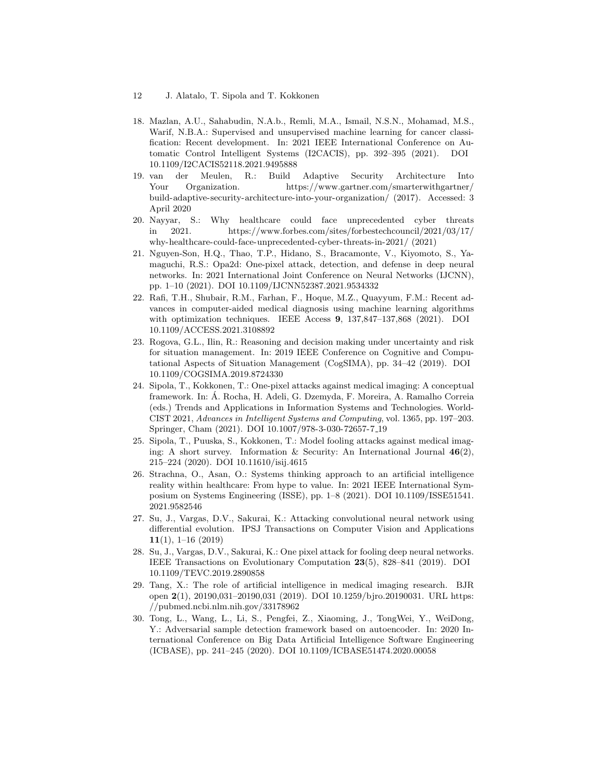- 12 J. Alatalo, T. Sipola and T. Kokkonen
- 18. Mazlan, A.U., Sahabudin, N.A.b., Remli, M.A., Ismail, N.S.N., Mohamad, M.S., Warif, N.B.A.: Supervised and unsupervised machine learning for cancer classification: Recent development. In: 2021 IEEE International Conference on Automatic Control Intelligent Systems (I2CACIS), pp. 392–395 (2021). DOI 10.1109/I2CACIS52118.2021.9495888
- 19. van der Meulen, R.: Build Adaptive Security Architecture Into Your Organization. https://www.gartner.com/smarterwithgartner/ build-adaptive-security-architecture-into-your-organization/ (2017). Accessed: 3 April 2020
- 20. Nayyar, S.: Why healthcare could face unprecedented cyber threats in 2021. https://www.forbes.com/sites/forbestechcouncil/2021/03/17/ why-healthcare-could-face-unprecedented-cyber-threats-in-2021/ (2021)
- 21. Nguyen-Son, H.Q., Thao, T.P., Hidano, S., Bracamonte, V., Kiyomoto, S., Yamaguchi, R.S.: Opa2d: One-pixel attack, detection, and defense in deep neural networks. In: 2021 International Joint Conference on Neural Networks (IJCNN), pp. 1–10 (2021). DOI 10.1109/IJCNN52387.2021.9534332
- 22. Rafi, T.H., Shubair, R.M., Farhan, F., Hoque, M.Z., Quayyum, F.M.: Recent advances in computer-aided medical diagnosis using machine learning algorithms with optimization techniques. IEEE Access 9, 137,847–137,868 (2021). DOI 10.1109/ACCESS.2021.3108892
- 23. Rogova, G.L., Ilin, R.: Reasoning and decision making under uncertainty and risk for situation management. In: 2019 IEEE Conference on Cognitive and Computational Aspects of Situation Management (CogSIMA), pp. 34–42 (2019). DOI 10.1109/COGSIMA.2019.8724330
- 24. Sipola, T., Kokkonen, T.: One-pixel attacks against medical imaging: A conceptual framework. In: A. Rocha, H. Adeli, G. Dzemyda, F. Moreira, A. Ramalho Correia ´ (eds.) Trends and Applications in Information Systems and Technologies. World-CIST 2021, Advances in Intelligent Systems and Computing, vol. 1365, pp. 197–203. Springer, Cham (2021). DOI 10.1007/978-3-030-72657-7 19
- 25. Sipola, T., Puuska, S., Kokkonen, T.: Model fooling attacks against medical imaging: A short survey. Information & Security: An International Journal  $46(2)$ , 215–224 (2020). DOI 10.11610/isij.4615
- 26. Strachna, O., Asan, O.: Systems thinking approach to an artificial intelligence reality within healthcare: From hype to value. In: 2021 IEEE International Symposium on Systems Engineering (ISSE), pp. 1–8 (2021). DOI 10.1109/ISSE51541. 2021.9582546
- 27. Su, J., Vargas, D.V., Sakurai, K.: Attacking convolutional neural network using differential evolution. IPSJ Transactions on Computer Vision and Applications  $11(1), 1\negthinspace\negthinspace -\negthinspace 16(2019)$
- 28. Su, J., Vargas, D.V., Sakurai, K.: One pixel attack for fooling deep neural networks. IEEE Transactions on Evolutionary Computation 23(5), 828–841 (2019). DOI 10.1109/TEVC.2019.2890858
- 29. Tang, X.: The role of artificial intelligence in medical imaging research. BJR open 2(1), 20190,031–20190,031 (2019). DOI 10.1259/bjro.20190031. URL https: //pubmed.ncbi.nlm.nih.gov/33178962
- 30. Tong, L., Wang, L., Li, S., Pengfei, Z., Xiaoming, J., TongWei, Y., WeiDong, Y.: Adversarial sample detection framework based on autoencoder. In: 2020 International Conference on Big Data Artificial Intelligence Software Engineering (ICBASE), pp. 241–245 (2020). DOI 10.1109/ICBASE51474.2020.00058